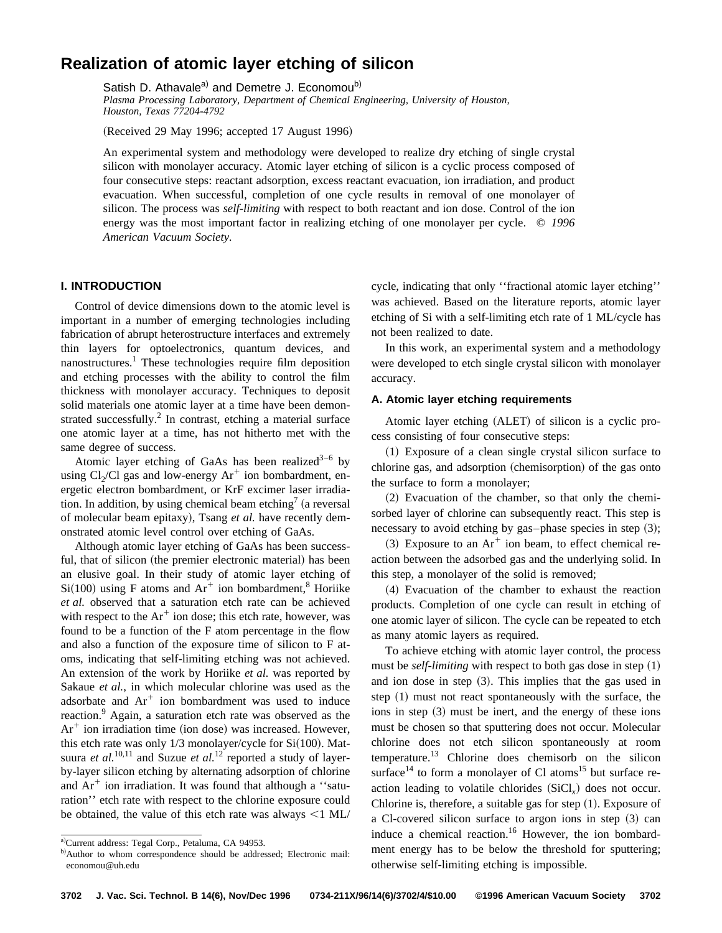# **Realization of atomic layer etching of silicon**

Satish D. Athavale<sup>a)</sup> and Demetre J. Economou<sup>b)</sup>

*Plasma Processing Laboratory, Department of Chemical Engineering, University of Houston, Houston, Texas 77204-4792*

(Received 29 May 1996; accepted 17 August 1996)

An experimental system and methodology were developed to realize dry etching of single crystal silicon with monolayer accuracy. Atomic layer etching of silicon is a cyclic process composed of four consecutive steps: reactant adsorption, excess reactant evacuation, ion irradiation, and product evacuation. When successful, completion of one cycle results in removal of one monolayer of silicon. The process was *self-limiting* with respect to both reactant and ion dose. Control of the ion energy was the most important factor in realizing etching of one monolayer per cycle. © *1996 American Vacuum Society.*

# **I. INTRODUCTION**

Control of device dimensions down to the atomic level is important in a number of emerging technologies including fabrication of abrupt heterostructure interfaces and extremely thin layers for optoelectronics, quantum devices, and nanostructures.<sup>1</sup> These technologies require film deposition and etching processes with the ability to control the film thickness with monolayer accuracy. Techniques to deposit solid materials one atomic layer at a time have been demonstrated successfully.<sup>2</sup> In contrast, etching a material surface one atomic layer at a time, has not hitherto met with the same degree of success.

Atomic layer etching of GaAs has been realized<sup>3-6</sup> by using  $Cl<sub>2</sub>/Cl$  gas and low-energy  $Ar<sup>+</sup>$  ion bombardment, energetic electron bombardment, or KrF excimer laser irradiation. In addition, by using chemical beam etching<sup>7</sup> (a reversal of molecular beam epitaxy), Tsang et al. have recently demonstrated atomic level control over etching of GaAs.

Although atomic layer etching of GaAs has been successful, that of silicon (the premier electronic material) has been an elusive goal. In their study of atomic layer etching of  $Si(100)$  using F atoms and  $Ar^+$  ion bombardment,<sup>8</sup> Horiike *et al.* observed that a saturation etch rate can be achieved with respect to the  $Ar^+$  ion dose; this etch rate, however, was found to be a function of the F atom percentage in the flow and also a function of the exposure time of silicon to F atoms, indicating that self-limiting etching was not achieved. An extension of the work by Horiike *et al.* was reported by Sakaue *et al.*, in which molecular chlorine was used as the adsorbate and  $Ar^+$  ion bombardment was used to induce reaction.<sup>9</sup> Again, a saturation etch rate was observed as the  $Ar^+$  ion irradiation time (ion dose) was increased. However, this etch rate was only  $1/3$  monolayer/cycle for  $Si(100)$ . Matsuura *et al.*<sup>10,11</sup> and Suzue *et al.*<sup>12</sup> reported a study of layerby-layer silicon etching by alternating adsorption of chlorine and  $Ar^+$  ion irradiation. It was found that although a "saturation'' etch rate with respect to the chlorine exposure could be obtained, the value of this etch rate was always  $\leq$ 1 ML/ cycle, indicating that only ''fractional atomic layer etching'' was achieved. Based on the literature reports, atomic layer etching of Si with a self-limiting etch rate of 1 ML/cycle has not been realized to date.

In this work, an experimental system and a methodology were developed to etch single crystal silicon with monolayer accuracy.

## **A. Atomic layer etching requirements**

Atomic layer etching (ALET) of silicon is a cyclic process consisting of four consecutive steps:

 $(1)$  Exposure of a clean single crystal silicon surface to chlorine gas, and adsorption (chemisorption) of the gas onto the surface to form a monolayer;

 $(2)$  Evacuation of the chamber, so that only the chemisorbed layer of chlorine can subsequently react. This step is necessary to avoid etching by gas-phase species in step  $(3)$ ;

 $(3)$  Exposure to an Ar<sup>+</sup> ion beam, to effect chemical reaction between the adsorbed gas and the underlying solid. In this step, a monolayer of the solid is removed;

(4) Evacuation of the chamber to exhaust the reaction products. Completion of one cycle can result in etching of one atomic layer of silicon. The cycle can be repeated to etch as many atomic layers as required.

To achieve etching with atomic layer control, the process must be *self-limiting* with respect to both gas dose in step  $(1)$ and ion dose in step  $(3)$ . This implies that the gas used in step  $(1)$  must not react spontaneously with the surface, the ions in step  $(3)$  must be inert, and the energy of these ions must be chosen so that sputtering does not occur. Molecular chlorine does not etch silicon spontaneously at room temperature.<sup>13</sup> Chlorine does chemisorb on the silicon surface<sup>14</sup> to form a monolayer of Cl atoms<sup>15</sup> but surface reaction leading to volatile chlorides  $(SiCl<sub>x</sub>)$  does not occur. Chlorine is, therefore, a suitable gas for step  $(1)$ . Exposure of a Cl-covered silicon surface to argon ions in step  $(3)$  can induce a chemical reaction.<sup>16</sup> However, the ion bombardment energy has to be below the threshold for sputtering; otherwise self-limiting etching is impossible.

a)Current address: Tegal Corp., Petaluma, CA 94953.

b)Author to whom correspondence should be addressed; Electronic mail: economou@uh.edu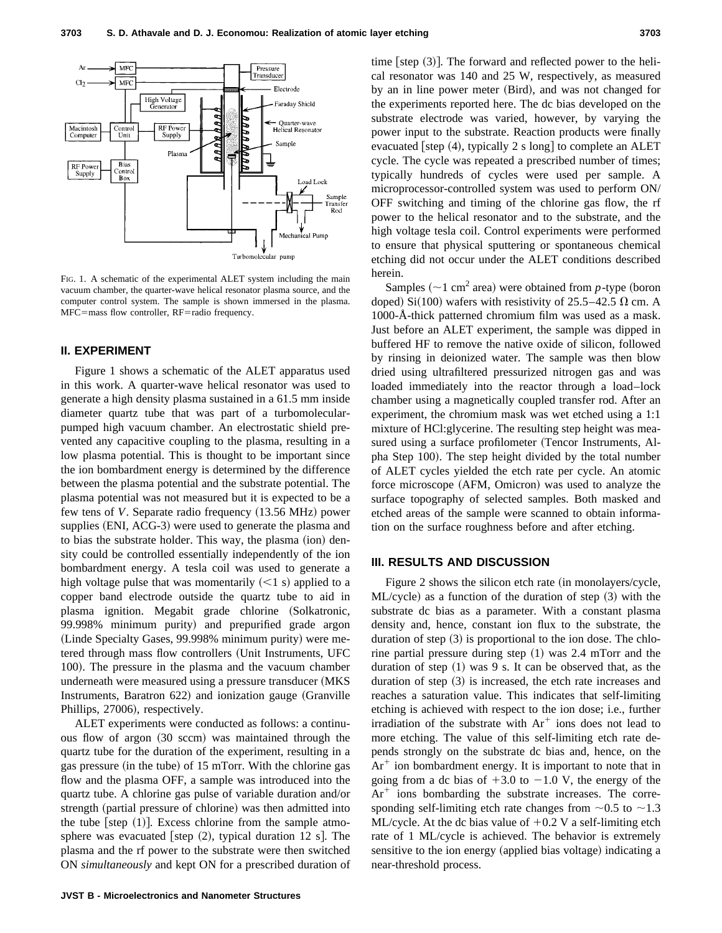

FIG. 1. A schematic of the experimental ALET system including the main vacuum chamber, the quarter-wave helical resonator plasma source, and the computer control system. The sample is shown immersed in the plasma. MFC=mass flow controller, RF=radio frequency.

## **II. EXPERIMENT**

Figure 1 shows a schematic of the ALET apparatus used in this work. A quarter-wave helical resonator was used to generate a high density plasma sustained in a 61.5 mm inside diameter quartz tube that was part of a turbomolecularpumped high vacuum chamber. An electrostatic shield prevented any capacitive coupling to the plasma, resulting in a low plasma potential. This is thought to be important since the ion bombardment energy is determined by the difference between the plasma potential and the substrate potential. The plasma potential was not measured but it is expected to be a few tens of *V*. Separate radio frequency (13.56 MHz) power supplies (ENI, ACG-3) were used to generate the plasma and to bias the substrate holder. This way, the plasma (ion) density could be controlled essentially independently of the ion bombardment energy. A tesla coil was used to generate a high voltage pulse that was momentarily  $(<1 s)$  applied to a copper band electrode outside the quartz tube to aid in plasma ignition. Megabit grade chlorine (Solkatronic, 99.998% minimum purity) and prepurified grade argon (Linde Specialty Gases, 99.998% minimum purity) were metered through mass flow controllers (Unit Instruments, UFC 100). The pressure in the plasma and the vacuum chamber underneath were measured using a pressure transducer (MKS) Instruments, Baratron  $622$ ) and ionization gauge (Granville Phillips, 27006), respectively.

ALET experiments were conducted as follows: a continuous flow of argon (30 sccm) was maintained through the quartz tube for the duration of the experiment, resulting in a gas pressure (in the tube) of 15 mTorr. With the chlorine gas flow and the plasma OFF, a sample was introduced into the quartz tube. A chlorine gas pulse of variable duration and/or strength (partial pressure of chlorine) was then admitted into the tube [step  $(1)$ ]. Excess chlorine from the sample atmosphere was evacuated [step  $(2)$ , typical duration 12 s]. The plasma and the rf power to the substrate were then switched ON *simultaneously* and kept ON for a prescribed duration of time [step  $(3)$ ]. The forward and reflected power to the helical resonator was 140 and 25 W, respectively, as measured by an in line power meter (Bird), and was not changed for the experiments reported here. The dc bias developed on the substrate electrode was varied, however, by varying the power input to the substrate. Reaction products were finally evacuated [step  $(4)$ , typically 2 s long] to complete an ALET cycle. The cycle was repeated a prescribed number of times; typically hundreds of cycles were used per sample. A microprocessor-controlled system was used to perform ON/ OFF switching and timing of the chlorine gas flow, the rf power to the helical resonator and to the substrate, and the high voltage tesla coil. Control experiments were performed to ensure that physical sputtering or spontaneous chemical etching did not occur under the ALET conditions described herein.

Samples  $({\sim}1 \text{ cm}^2 \text{ area})$  were obtained from *p*-type (boron doped) Si(100) wafers with resistivity of  $25.5-42.5$  Q cm. A 1000-Å-thick patterned chromium film was used as a mask. Just before an ALET experiment, the sample was dipped in buffered HF to remove the native oxide of silicon, followed by rinsing in deionized water. The sample was then blow dried using ultrafiltered pressurized nitrogen gas and was loaded immediately into the reactor through a load–lock chamber using a magnetically coupled transfer rod. After an experiment, the chromium mask was wet etched using a 1:1 mixture of HCl:glycerine. The resulting step height was measured using a surface profilometer (Tencor Instruments, Alpha Step 100). The step height divided by the total number of ALET cycles yielded the etch rate per cycle. An atomic force microscope (AFM, Omicron) was used to analyze the surface topography of selected samples. Both masked and etched areas of the sample were scanned to obtain information on the surface roughness before and after etching.

### **III. RESULTS AND DISCUSSION**

Figure 2 shows the silicon etch rate  $(in$  monolayers/cycle,  $ML/cycle$  as a function of the duration of step  $(3)$  with the substrate dc bias as a parameter. With a constant plasma density and, hence, constant ion flux to the substrate, the duration of step  $(3)$  is proportional to the ion dose. The chlorine partial pressure during step  $(1)$  was 2.4 mTorr and the duration of step  $(1)$  was 9 s. It can be observed that, as the duration of step  $(3)$  is increased, the etch rate increases and reaches a saturation value. This indicates that self-limiting etching is achieved with respect to the ion dose; i.e., further irradiation of the substrate with  $Ar^+$  ions does not lead to more etching. The value of this self-limiting etch rate depends strongly on the substrate dc bias and, hence, on the  $Ar^+$  ion bombardment energy. It is important to note that in going from a dc bias of  $+3.0$  to  $-1.0$  V, the energy of the  $Ar<sup>+</sup>$  ions bombarding the substrate increases. The corresponding self-limiting etch rate changes from  $\sim 0.5$  to  $\sim 1.3$ ML/cycle. At the dc bias value of  $+0.2$  V a self-limiting etch rate of 1 ML/cycle is achieved. The behavior is extremely sensitive to the ion energy (applied bias voltage) indicating a near-threshold process.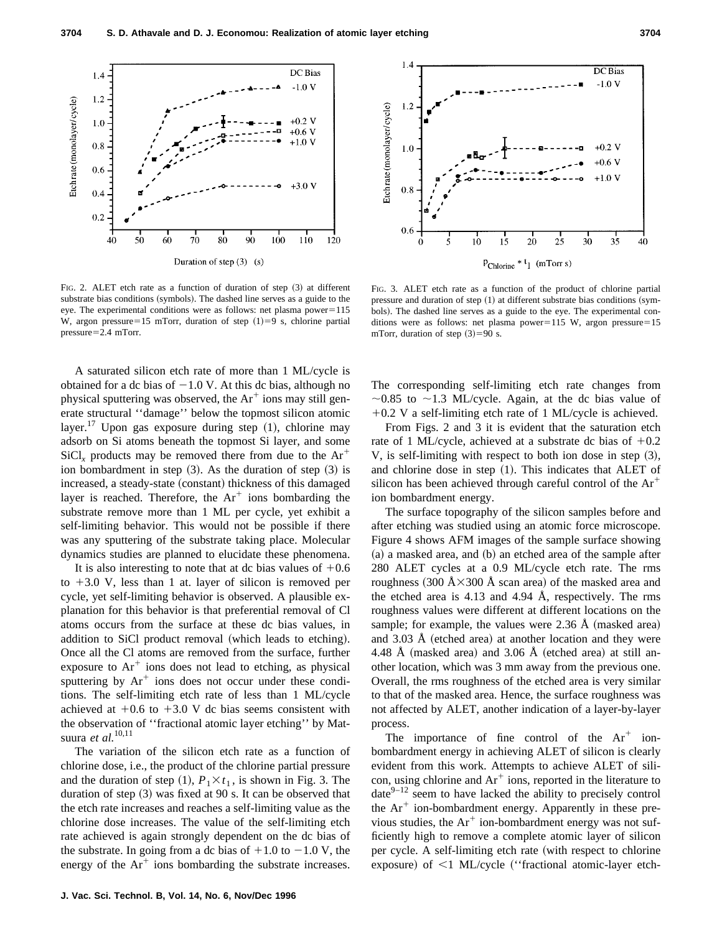

FIG. 2. ALET etch rate as a function of duration of step  $(3)$  at different substrate bias conditions (symbols). The dashed line serves as a guide to the eye. The experimental conditions were as follows: net plasma  $power=115$ W, argon pressure=15 mTorr, duration of step  $(1)=9$  s, chlorine partial  $pressure=2.4 mTorr.$ 

A saturated silicon etch rate of more than 1 ML/cycle is obtained for a dc bias of  $-1.0$  V. At this dc bias, although no physical sputtering was observed, the  $Ar^+$  ions may still generate structural ''damage'' below the topmost silicon atomic layer.<sup>17</sup> Upon gas exposure during step  $(1)$ , chlorine may adsorb on Si atoms beneath the topmost Si layer, and some  $\text{SiCl}_x$  products may be removed there from due to the  $\text{Ar}^+$ ion bombardment in step  $(3)$ . As the duration of step  $(3)$  is increased, a steady-state (constant) thickness of this damaged layer is reached. Therefore, the  $Ar^+$  ions bombarding the substrate remove more than 1 ML per cycle, yet exhibit a self-limiting behavior. This would not be possible if there was any sputtering of the substrate taking place. Molecular dynamics studies are planned to elucidate these phenomena.

It is also interesting to note that at dc bias values of  $+0.6$ to  $+3.0$  V, less than 1 at. layer of silicon is removed per cycle, yet self-limiting behavior is observed. A plausible explanation for this behavior is that preferential removal of Cl atoms occurs from the surface at these dc bias values, in addition to SiCl product removal (which leads to etching). Once all the Cl atoms are removed from the surface, further exposure to  $Ar^+$  ions does not lead to etching, as physical sputtering by  $Ar^+$  ions does not occur under these conditions. The self-limiting etch rate of less than 1 ML/cycle achieved at  $+0.6$  to  $+3.0$  V dc bias seems consistent with the observation of ''fractional atomic layer etching'' by Matsuura *et al.*10,11

The variation of the silicon etch rate as a function of chlorine dose, i.e., the product of the chlorine partial pressure and the duration of step  $(1)$ ,  $P_1 \times t_1$ , is shown in Fig. 3. The duration of step  $(3)$  was fixed at 90 s. It can be observed that the etch rate increases and reaches a self-limiting value as the chlorine dose increases. The value of the self-limiting etch rate achieved is again strongly dependent on the dc bias of the substrate. In going from a dc bias of  $+1.0$  to  $-1.0$  V, the energy of the  $Ar^+$  ions bombarding the substrate increases.



FIG. 3. ALET etch rate as a function of the product of chlorine partial pressure and duration of step  $(1)$  at different substrate bias conditions (symbols). The dashed line serves as a guide to the eye. The experimental conditions were as follows: net plasma power=115 W, argon pressure=15 mTorr, duration of step  $(3)=90$  s.

The corresponding self-limiting etch rate changes from  $\sim$ 0.85 to  $\sim$ 1.3 ML/cycle. Again, at the dc bias value of  $+0.2$  V a self-limiting etch rate of 1 ML/cycle is achieved.

From Figs. 2 and 3 it is evident that the saturation etch rate of 1 ML/cycle, achieved at a substrate dc bias of  $+0.2$ V, is self-limiting with respect to both ion dose in step  $(3)$ , and chlorine dose in step  $(1)$ . This indicates that ALET of silicon has been achieved through careful control of the  $Ar^+$ ion bombardment energy.

The surface topography of the silicon samples before and after etching was studied using an atomic force microscope. Figure 4 shows AFM images of the sample surface showing  $(a)$  a masked area, and  $(b)$  an etched area of the sample after 280 ALET cycles at a 0.9 ML/cycle etch rate. The rms roughness  $(300 \text{ Å} \times 300 \text{ Å} \text{ scan}$  area) of the masked area and the etched area is 4.13 and 4.94 Å, respectively. The rms roughness values were different at different locations on the sample; for example, the values were  $2.36 \text{ Å}$  (masked area) and  $3.03$  Å (etched area) at another location and they were 4.48 Å (masked area) and 3.06 Å (etched area) at still another location, which was 3 mm away from the previous one. Overall, the rms roughness of the etched area is very similar to that of the masked area. Hence, the surface roughness was not affected by ALET, another indication of a layer-by-layer process.

The importance of fine control of the  $Ar^+$  ionbombardment energy in achieving ALET of silicon is clearly evident from this work. Attempts to achieve ALET of silicon, using chlorine and  $Ar^+$  ions, reported in the literature to  $date^{9-12}$  seem to have lacked the ability to precisely control the  $Ar^+$  ion-bombardment energy. Apparently in these previous studies, the  $Ar^+$  ion-bombardment energy was not sufficiently high to remove a complete atomic layer of silicon per cycle. A self-limiting etch rate (with respect to chlorine exposure) of  $\leq$ 1 ML/cycle ("fractional atomic-layer etch-